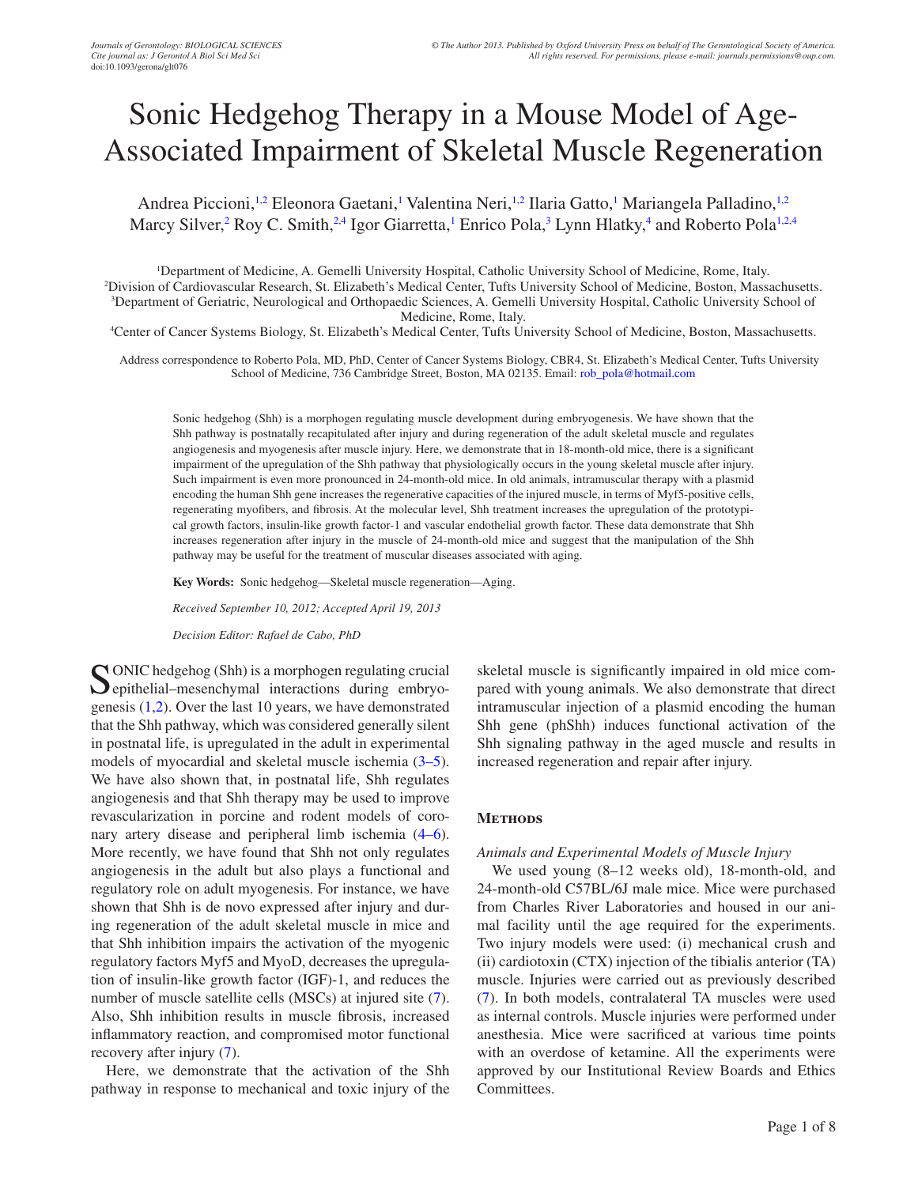# Sonic Hedgehog Therapy in a Mouse Model of Age-Associated Impairment of Skeletal Muscle Regeneration

<span id="page-0-0"></span>Andrea Piccioni,<sup>1[,2](#page-0-1)</sup> Eleonora Gaetani,<sup>[1](#page-0-0)</sup> Valentina Neri,<sup>1,[2](#page-0-1)</sup> Ilaria Gatto,<sup>1</sup> Mariangela Palladino,<sup>1,2</sup> Marcy Silver,<sup>[2](#page-0-1)</sup> Roy C. Smith,<sup>2,4</sup> Igor Giarretta,<sup>1</sup> Enrico Pola,<sup>3</sup> Lynn Hlatky,<sup>4</sup> and Roberto Pola<sup>1[,2](#page-0-1)[,4](#page-0-2)</sup>

<span id="page-0-3"></span><span id="page-0-1"></span> Department of Medicine, A. Gemelli University Hospital, Catholic University School of Medicine, Rome, Italy. Division of Cardiovascular Research, St. Elizabeth's Medical Center, Tufts University School of Medicine, Boston, Massachusetts. Department of Geriatric, Neurological and Orthopaedic Sciences, A. Gemelli University Hospital, Catholic University School of Medicine, Rome, Italy.

<span id="page-0-2"></span>4 Center of Cancer Systems Biology, St. Elizabeth's Medical Center, Tufts University School of Medicine, Boston, Massachusetts.

Address correspondence to Roberto Pola, MD, PhD, Center of Cancer Systems Biology, CBR4, St. Elizabeth's Medical Center, Tufts University School of Medicine, 736 Cambridge Street, Boston, MA 02135. Email: [rob\\_pola@hotmail.com](mailto:rob_pola@hotmail.com)

Sonic hedgehog (Shh) is a morphogen regulating muscle development during embryogenesis. We have shown that the Shh pathway is postnatally recapitulated after injury and during regeneration of the adult skeletal muscle and regulates angiogenesis and myogenesis after muscle injury. Here, we demonstrate that in 18-month-old mice, there is a significant impairment of the upregulation of the Shh pathway that physiologically occurs in the young skeletal muscle after injury. Such impairment is even more pronounced in 24-month-old mice. In old animals, intramuscular therapy with a plasmid encoding the human Shh gene increases the regenerative capacities of the injured muscle, in terms of Myf5-positive cells, regenerating myofibers, and fibrosis. At the molecular level, Shh treatment increases the upregulation of the prototypical growth factors, insulin-like growth factor-1 and vascular endothelial growth factor. These data demonstrate that Shh increases regeneration after injury in the muscle of 24-month-old mice and suggest that the manipulation of the Shh pathway may be useful for the treatment of muscular diseases associated with aging.

**Key Words:** Sonic hedgehog—Skeletal muscle regeneration—Aging.

*Received September 10, 2012; Accepted April 19, 2013*

*Decision Editor: Rafael de Cabo, PhD*

Sonic hedgehog (Shh) is a morphogen regulating crucial epithelial–mesenchymal interactions during embryogenesis [\(1](#page-6-0),[2\)](#page-6-1). Over the last 10 years, we have demonstrated that the Shh pathway, which was considered generally silent in postnatal life, is upregulated in the adult in experimental models of myocardial and skeletal muscle ischemia ([3–5\)](#page-6-2). We have also shown that, in postnatal life, Shh regulates angiogenesis and that Shh therapy may be used to improve revascularization in porcine and rodent models of coronary artery disease and peripheral limb ischemia  $(4-6)$ . More recently, we have found that Shh not only regulates angiogenesis in the adult but also plays a functional and regulatory role on adult myogenesis. For instance, we have shown that Shh is de novo expressed after injury and during regeneration of the adult skeletal muscle in mice and that Shh inhibition impairs the activation of the myogenic regulatory factors Myf5 and MyoD, decreases the upregulation of insulin-like growth factor (IGF)-1, and reduces the number of muscle satellite cells (MSCs) at injured site  $(7)$  $(7)$ . Also, Shh inhibition results in muscle fibrosis, increased inflammatory reaction, and compromised motor functional recovery after injury ([7\)](#page-6-4).

Here, we demonstrate that the activation of the Shh pathway in response to mechanical and toxic injury of the skeletal muscle is significantly impaired in old mice compared with young animals. We also demonstrate that direct intramuscular injection of a plasmid encoding the human Shh gene (phShh) induces functional activation of the Shh signaling pathway in the aged muscle and results in increased regeneration and repair after injury.

#### **METHODS**

#### *Animals and Experimental Models of Muscle Injury*

We used young (8–12 weeks old), 18-month-old, and 24-month-old C57BL/6J male mice. Mice were purchased from Charles River Laboratories and housed in our animal facility until the age required for the experiments. Two injury models were used: (i) mechanical crush and (ii) cardiotoxin (CTX) injection of the tibialis anterior (TA) muscle. Injuries were carried out as previously described ([7](#page-6-4)). In both models, contralateral TA muscles were used as internal controls. Muscle injuries were performed under anesthesia. Mice were sacrificed at various time points with an overdose of ketamine. All the experiments were approved by our Institutional Review Boards and Ethics Committees.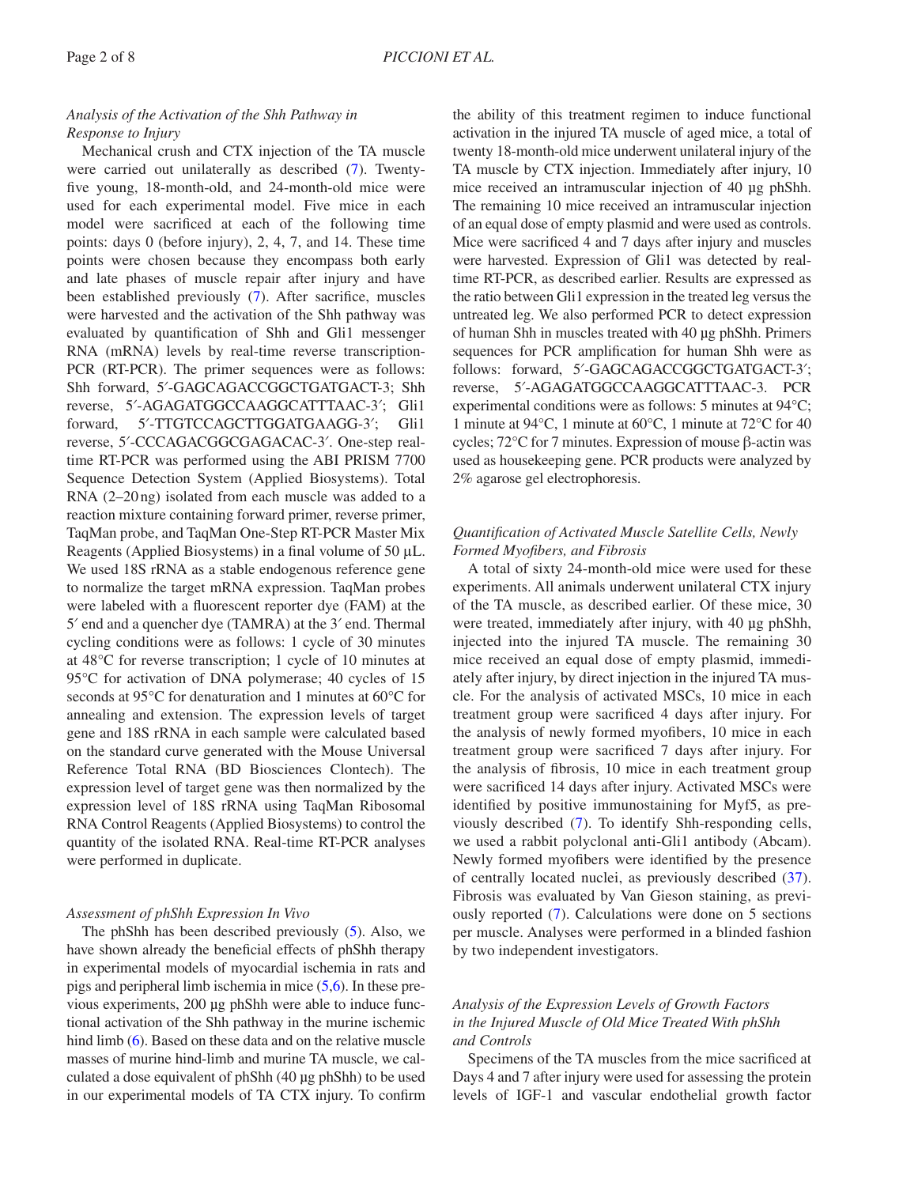## *Analysis of the Activation of the Shh Pathway in Response to Injury*

Mechanical crush and CTX injection of the TA muscle were carried out unilaterally as described ([7\)](#page-6-4). Twentyfive young, 18-month-old, and 24-month-old mice were used for each experimental model. Five mice in each model were sacrificed at each of the following time points: days 0 (before injury), 2, 4, 7, and 14. These time points were chosen because they encompass both early and late phases of muscle repair after injury and have been established previously ([7\)](#page-6-4). After sacrifice, muscles were harvested and the activation of the Shh pathway was evaluated by quantification of Shh and Gli1 messenger RNA (mRNA) levels by real-time reverse transcription-PCR (RT-PCR). The primer sequences were as follows: Shh forward, 5′-GAGCAGACCGGCTGATGACT-3; Shh reverse, 5′-AGAGATGGCCAAGGCATTTAAC-3′; Gli1 forward, 5′-TTGTCCAGCTTGGATGAAGG-3′; Gli1 reverse, 5′-CCCAGACGGCGAGACAC-3′. One-step realtime RT-PCR was performed using the ABI PRISM 7700 Sequence Detection System (Applied Biosystems). Total RNA (2–20ng) isolated from each muscle was added to a reaction mixture containing forward primer, reverse primer, TaqMan probe, and TaqMan One-Step RT-PCR Master Mix Reagents (Applied Biosystems) in a final volume of 50 μL. We used 18S rRNA as a stable endogenous reference gene to normalize the target mRNA expression. TaqMan probes were labeled with a fluorescent reporter dye (FAM) at the 5′ end and a quencher dye (TAMRA) at the 3′ end. Thermal cycling conditions were as follows: 1 cycle of 30 minutes at 48°C for reverse transcription; 1 cycle of 10 minutes at 95°C for activation of DNA polymerase; 40 cycles of 15 seconds at 95°C for denaturation and 1 minutes at 60°C for annealing and extension. The expression levels of target gene and 18S rRNA in each sample were calculated based on the standard curve generated with the Mouse Universal Reference Total RNA (BD Biosciences Clontech). The expression level of target gene was then normalized by the expression level of 18S rRNA using TaqMan Ribosomal RNA Control Reagents (Applied Biosystems) to control the quantity of the isolated RNA. Real-time RT-PCR analyses were performed in duplicate.

## *Assessment of phShh Expression In Vivo*

The phShh has been described previously ([5](#page-6-5)). Also, we have shown already the beneficial effects of phShh therapy in experimental models of myocardial ischemia in rats and pigs and peripheral limb ischemia in mice [\(5](#page-6-5)[,6](#page-6-6)). In these previous experiments, 200 µg phShh were able to induce functional activation of the Shh pathway in the murine ischemic hind limb [\(6](#page-6-6)). Based on these data and on the relative muscle masses of murine hind-limb and murine TA muscle, we calculated a dose equivalent of phShh (40 µg phShh) to be used in our experimental models of TA CTX injury. To confirm the ability of this treatment regimen to induce functional activation in the injured TA muscle of aged mice, a total of twenty 18-month-old mice underwent unilateral injury of the TA muscle by CTX injection. Immediately after injury, 10 mice received an intramuscular injection of 40 µg phShh. The remaining 10 mice received an intramuscular injection of an equal dose of empty plasmid and were used as controls. Mice were sacrificed 4 and 7 days after injury and muscles were harvested. Expression of Gli1 was detected by realtime RT-PCR, as described earlier. Results are expressed as the ratio between Gli1 expression in the treated leg versus the untreated leg. We also performed PCR to detect expression of human Shh in muscles treated with 40 µg phShh. Primers sequences for PCR amplification for human Shh were as follows: forward, 5′-GAGCAGACCGGCTGATGACT-3′; reverse, 5′-AGAGATGGCCAAGGCATTTAAC-3. PCR experimental conditions were as follows: 5 minutes at 94°C; 1 minute at 94°C, 1 minute at 60°C, 1 minute at 72°C for 40 cycles; 72°C for 7 minutes. Expression of mouse β-actin was used as housekeeping gene. PCR products were analyzed by 2% agarose gel electrophoresis.

## *Quantification of Activated Muscle Satellite Cells, Newly Formed Myofibers, and Fibrosis*

A total of sixty 24-month-old mice were used for these experiments. All animals underwent unilateral CTX injury of the TA muscle, as described earlier. Of these mice, 30 were treated, immediately after injury, with 40 µg phShh, injected into the injured TA muscle. The remaining 30 mice received an equal dose of empty plasmid, immediately after injury, by direct injection in the injured TA muscle. For the analysis of activated MSCs, 10 mice in each treatment group were sacrificed 4 days after injury. For the analysis of newly formed myofibers, 10 mice in each treatment group were sacrificed 7 days after injury. For the analysis of fibrosis, 10 mice in each treatment group were sacrificed 14 days after injury. Activated MSCs were identified by positive immunostaining for Myf5, as previously described ([7\)](#page-6-4). To identify Shh-responding cells, we used a rabbit polyclonal anti-Gli1 antibody (Abcam). Newly formed myofibers were identified by the presence of centrally located nuclei, as previously described [\(37](#page-7-0)). Fibrosis was evaluated by Van Gieson staining, as previously reported ([7\)](#page-6-4). Calculations were done on 5 sections per muscle. Analyses were performed in a blinded fashion by two independent investigators.

# *Analysis of the Expression Levels of Growth Factors in the Injured Muscle of Old Mice Treated With phShh and Controls*

Specimens of the TA muscles from the mice sacrificed at Days 4 and 7 after injury were used for assessing the protein levels of IGF-1 and vascular endothelial growth factor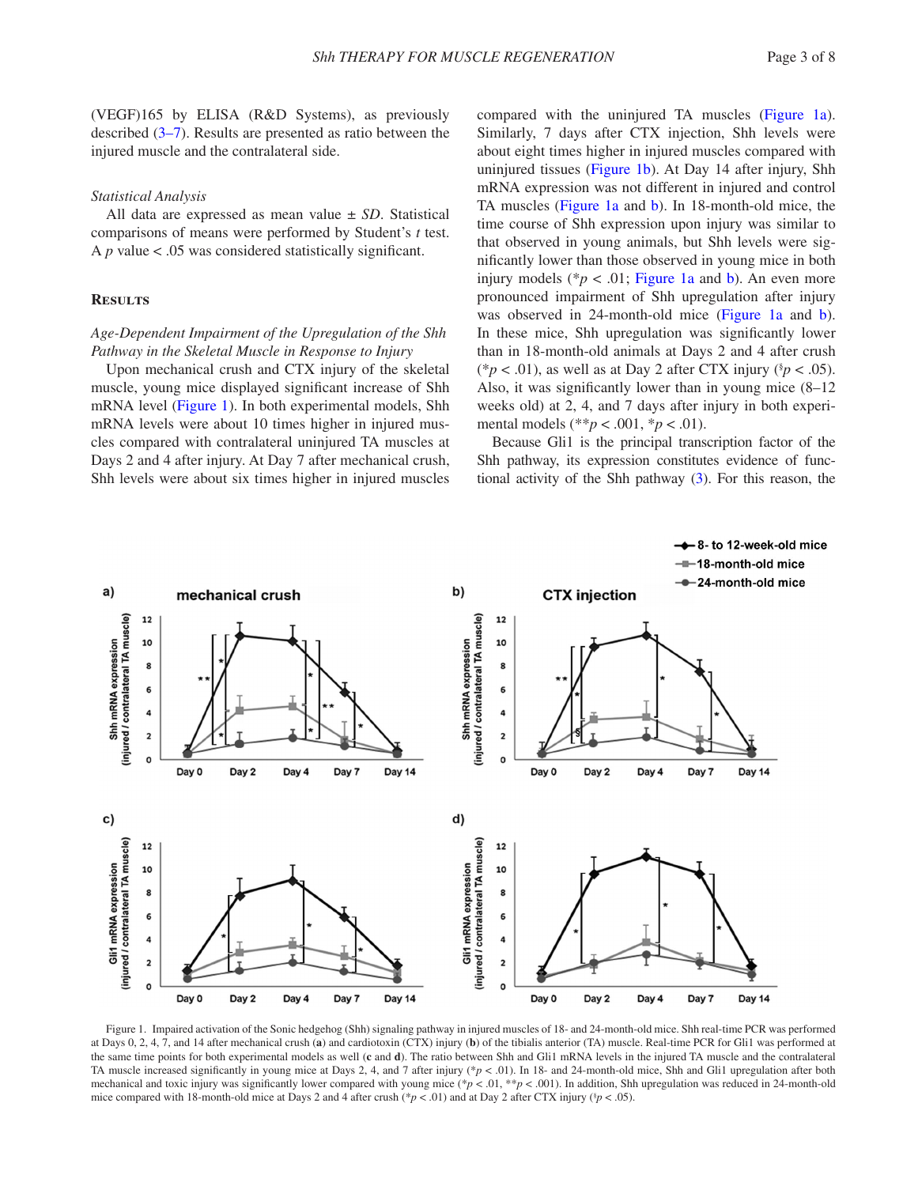(VEGF)165 by ELISA (R&D Systems), as previously described [\(3–7](#page-6-2)). Results are presented as ratio between the injured muscle and the contralateral side.

#### *Statistical Analysis*

All data are expressed as mean value ± *SD*. Statistical comparisons of means were performed by Student's *t* test. A *p* value < .05 was considered statistically significant.

#### **Results**

## *Age-Dependent Impairment of the Upregulation of the Shh Pathway in the Skeletal Muscle in Response to Injury*

Upon mechanical crush and CTX injury of the skeletal muscle, young mice displayed significant increase of Shh mRNA level ([Figure 1\)](#page-2-0). In both experimental models, Shh mRNA levels were about 10 times higher in injured muscles compared with contralateral uninjured TA muscles at Days 2 and 4 after injury. At Day 7 after mechanical crush, Shh levels were about six times higher in injured muscles compared with the uninjured TA muscles [\(Figure 1a](#page-2-0)). Similarly, 7 days after CTX injection, Shh levels were about eight times higher in injured muscles compared with uninjured tissues ([Figure 1b](#page-2-0)). At Day 14 after injury, Shh mRNA expression was not different in injured and control TA muscles [\(Figure 1a](#page-2-0) and [b](#page-2-0)). In 18-month-old mice, the time course of Shh expression upon injury was similar to that observed in young animals, but Shh levels were significantly lower than those observed in young mice in both injury models ( $* p < .01$ ; [Figure 1a](#page-2-0) and [b](#page-2-0)). An even more pronounced impairment of Shh upregulation after injury was o[b](#page-2-0)served in 24-month-old mice (Figure 1a and b). In these mice, Shh upregulation was significantly lower than in 18-month-old animals at Days 2 and 4 after crush (\* $p < .01$ ), as well as at Day 2 after CTX injury (\* $p < .05$ ). Also, it was significantly lower than in young mice (8–12 weeks old) at 2, 4, and 7 days after injury in both experimental models (\*\**p* < .001, \**p* < .01).

Because Gli1 is the principal transcription factor of the Shh pathway, its expression constitutes evidence of functional activity of the Shh pathway [\(3\)](#page-6-2). For this reason, the



<span id="page-2-0"></span>Figure 1. Impaired activation of the Sonic hedgehog (Shh) signaling pathway in injured muscles of 18- and 24-month-old mice. Shh real-time PCR was performed at Days 0, 2, 4, 7, and 14 after mechanical crush (**a**) and cardiotoxin (CTX) injury (**b**) of the tibialis anterior (TA) muscle. Real-time PCR for Gli1 was performed at the same time points for both experimental models as well (**c** and **d**). The ratio between Shh and Gli1 mRNA levels in the injured TA muscle and the contralateral TA muscle increased significantly in young mice at Days 2, 4, and 7 after injury (\**p* < .01). In 18- and 24-month-old mice, Shh and Gli1 upregulation after both mechanical and toxic injury was significantly lower compared with young mice  $(*p < .01, **p < .001)$ . In addition, Shh upregulation was reduced in 24-month-old mice compared with 18-month-old mice at Days 2 and 4 after crush (\* $p < .01$ ) and at Day 2 after CTX injury (\* $p < .05$ ).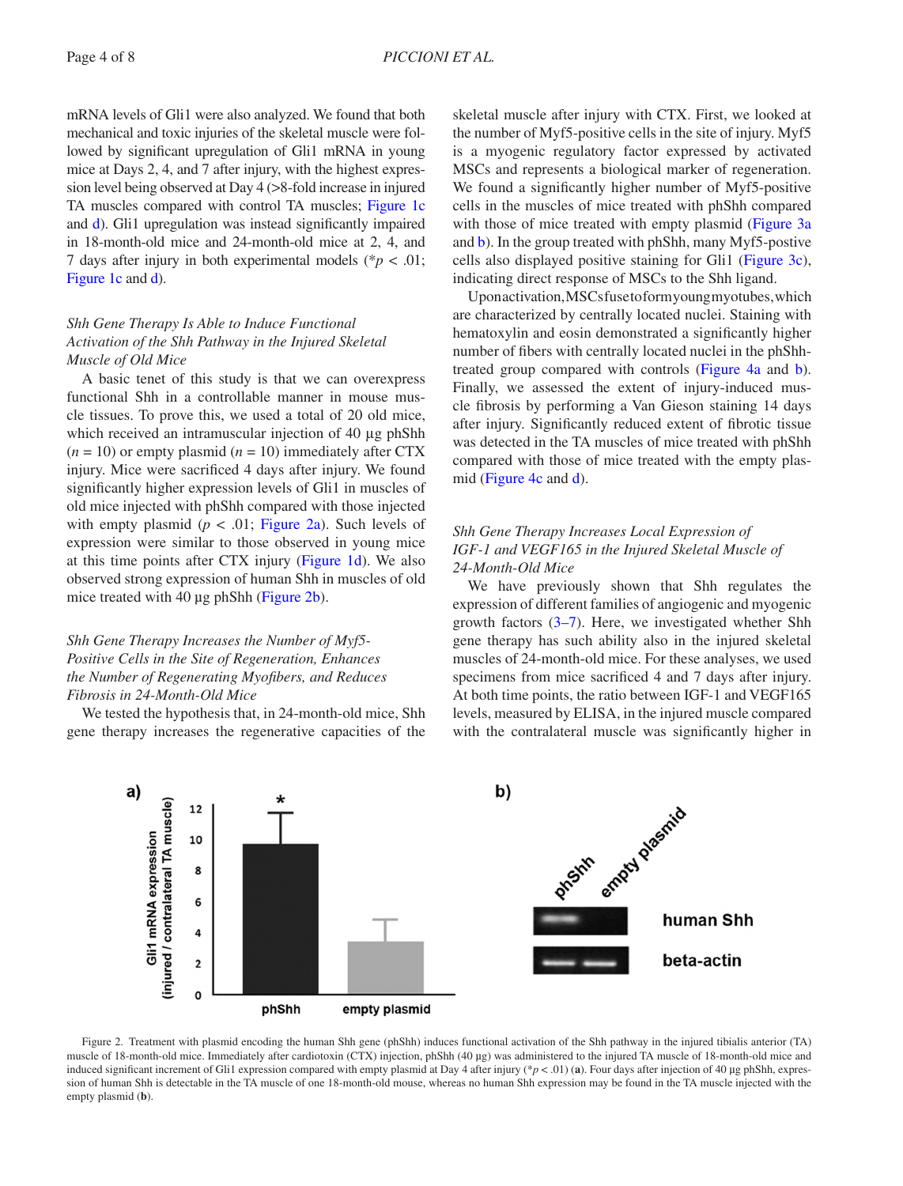mRNA levels of Gli1 were also analyzed. We found that both mechanical and toxic injuries of the skeletal muscle were followed by significant upregulation of Gli1 mRNA in young mice at Days 2, 4, and 7 after injury, with the highest expression level being observed at Day 4 (>8-fold increase in injured TA muscles compared with control TA muscles; [Figure 1c](#page-2-0) and [d\)](#page-2-0). Gli1 upregulation was instead significantly impaired in 18-month-old mice and 24-month-old mice at 2, 4, and 7 days after injury in both experimental models (\**p* < .01; [Figure 1c](#page-2-0) and [d](#page-2-0)).

# *Shh Gene Therapy Is Able to Induce Functional Activation of the Shh Pathway in the Injured Skeletal Muscle of Old Mice*

A basic tenet of this study is that we can overexpress functional Shh in a controllable manner in mouse muscle tissues. To prove this, we used a total of 20 old mice, which received an intramuscular injection of 40 μg phShh  $(n = 10)$  or empty plasmid  $(n = 10)$  immediately after CTX injury. Mice were sacrificed 4 days after injury. We found significantly higher expression levels of Gli1 in muscles of old mice injected with phShh compared with those injected with empty plasmid ( $p < .01$ ; Figure 2a). Such levels of expression were similar to those observed in young mice at this time points after CTX injury ([Figure 1d\)](#page-2-0). We also observed strong expression of human Shh in muscles of old mice treated with 40 µg phShh ([Figure 2b](#page-3-0)).

## *Shh Gene Therapy Increases the Number of Myf5- Positive Cells in the Site of Regeneration, Enhances the Number of Regenerating Myofibers, and Reduces Fibrosis in 24-Month-Old Mice*

We tested the hypothesis that, in 24-month-old mice, Shh gene therapy increases the regenerative capacities of the

skeletal muscle after injury with CTX. First, we looked at the number of Myf5-positive cells in the site of injury. Myf5 is a myogenic regulatory factor expressed by activated MSCs and represents a biological marker of regeneration. We found a significantly higher number of Myf5-positive cells in the muscles of mice treated with phShh compared with those of mice treated with empty plasmid [\(Figure 3a](#page-4-0)) and [b](#page-4-0)). In the group treated with phShh, many Myf5-postive cells also displayed positive staining for Gli1 ([Figure 3c](#page-4-0)), indicating direct response of MSCs to the Shh ligand.

Upon activation, MSCs fuse to form young myotubes, which are characterized by centrally located nuclei. Staining with hematoxylin and eosin demonstrated a significantly higher number of fibers with centrally located nuclei in the phShhtreated group compared with controls [\(Figure 4a](#page-5-0) and [b](#page-5-0)). Finally, we assessed the extent of injury-induced muscle fibrosis by performing a Van Gieson staining 14 days after injury. Significantly reduced extent of fibrotic tissue was detected in the TA muscles of mice treated with phShh compared with those of mice treated with the empty plasmid [\(Figure 4c](#page-5-0) and [d\)](#page-5-0).

# *Shh Gene Therapy Increases Local Expression of IGF-1 and VEGF165 in the Injured Skeletal Muscle of 24-Month-Old Mice*

We have previously shown that Shh regulates the expression of different families of angiogenic and myogenic growth factors [\(3–7](#page-6-2)). Here, we investigated whether Shh gene therapy has such ability also in the injured skeletal muscles of 24-month-old mice. For these analyses, we used specimens from mice sacrificed 4 and 7 days after injury. At both time points, the ratio between IGF-1 and VEGF165 levels, measured by ELISA, in the injured muscle compared with the contralateral muscle was significantly higher in



<span id="page-3-0"></span>Figure 2. Treatment with plasmid encoding the human Shh gene (phShh) induces functional activation of the Shh pathway in the injured tibialis anterior (TA) muscle of 18-month-old mice. Immediately after cardiotoxin (CTX) injection, phShh (40 µg) was administered to the injured TA muscle of 18-month-old mice and induced significant increment of Gli1 expression compared with empty plasmid at Day 4 after injury (\**p* < .01) (a). Four days after injection of 40 µg phShh, expression of human Shh is detectable in the TA muscle of one 18-month-old mouse, whereas no human Shh expression may be found in the TA muscle injected with the empty plasmid (**b**).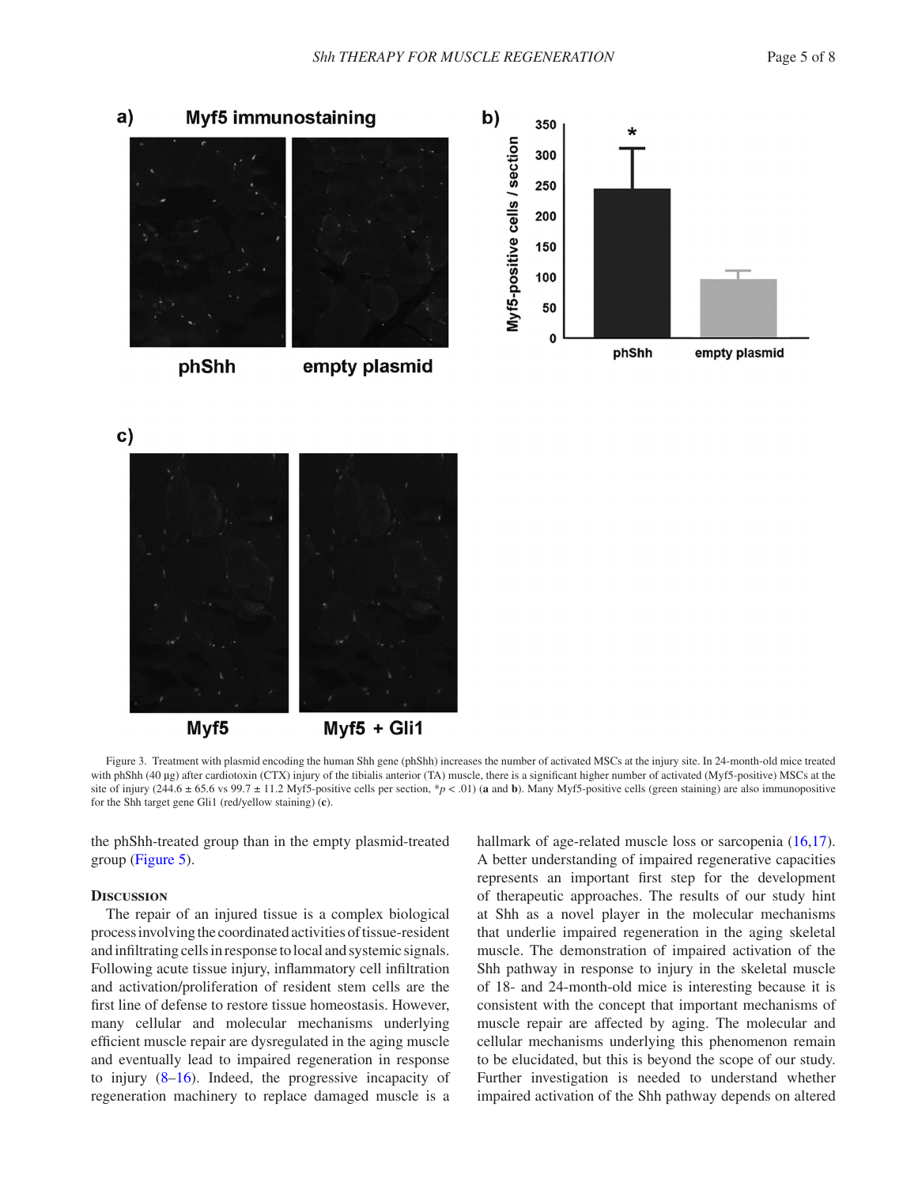

phShh

empty plasmid

 $\mathbf{c}$ 



<span id="page-4-0"></span>Myf5

 $Myf5 + Gli1$ 

Figure 3. Treatment with plasmid encoding the human Shh gene (phShh) increases the number of activated MSCs at the injury site. In 24-month-old mice treated with phShh (40 µg) after cardiotoxin (CTX) injury of the tibialis anterior (TA) muscle, there is a significant higher number of activated (Myf5-positive) MSCs at the site of injury (244.6  $\pm$  65.6 vs 99.7  $\pm$  11.2 Myf5-positive cells per section, \**p* < .01) (**a** and **b**). Many Myf5-positive cells (green staining) are also immunopositive for the Shh target gene Gli1 (red/yellow staining) (**c**).

the phShh-treated group than in the empty plasmid-treated group [\(Figure 5\)](#page-6-7).

### **Discussion**

The repair of an injured tissue is a complex biological process involving the coordinated activities of tissue-resident and infiltrating cells in response to local and systemic signals. Following acute tissue injury, inflammatory cell infiltration and activation/proliferation of resident stem cells are the first line of defense to restore tissue homeostasis. However, many cellular and molecular mechanisms underlying efficient muscle repair are dysregulated in the aging muscle and eventually lead to impaired regeneration in response to injury [\(8](#page-6-8)[–16](#page-6-9)). Indeed, the progressive incapacity of regeneration machinery to replace damaged muscle is a hallmark of age-related muscle loss or sarcopenia  $(16,17)$  $(16,17)$  $(16,17)$  $(16,17)$ . A better understanding of impaired regenerative capacities represents an important first step for the development of therapeutic approaches. The results of our study hint at Shh as a novel player in the molecular mechanisms that underlie impaired regeneration in the aging skeletal muscle. The demonstration of impaired activation of the Shh pathway in response to injury in the skeletal muscle of 18- and 24-month-old mice is interesting because it is consistent with the concept that important mechanisms of muscle repair are affected by aging. The molecular and cellular mechanisms underlying this phenomenon remain to be elucidated, but this is beyond the scope of our study. Further investigation is needed to understand whether impaired activation of the Shh pathway depends on altered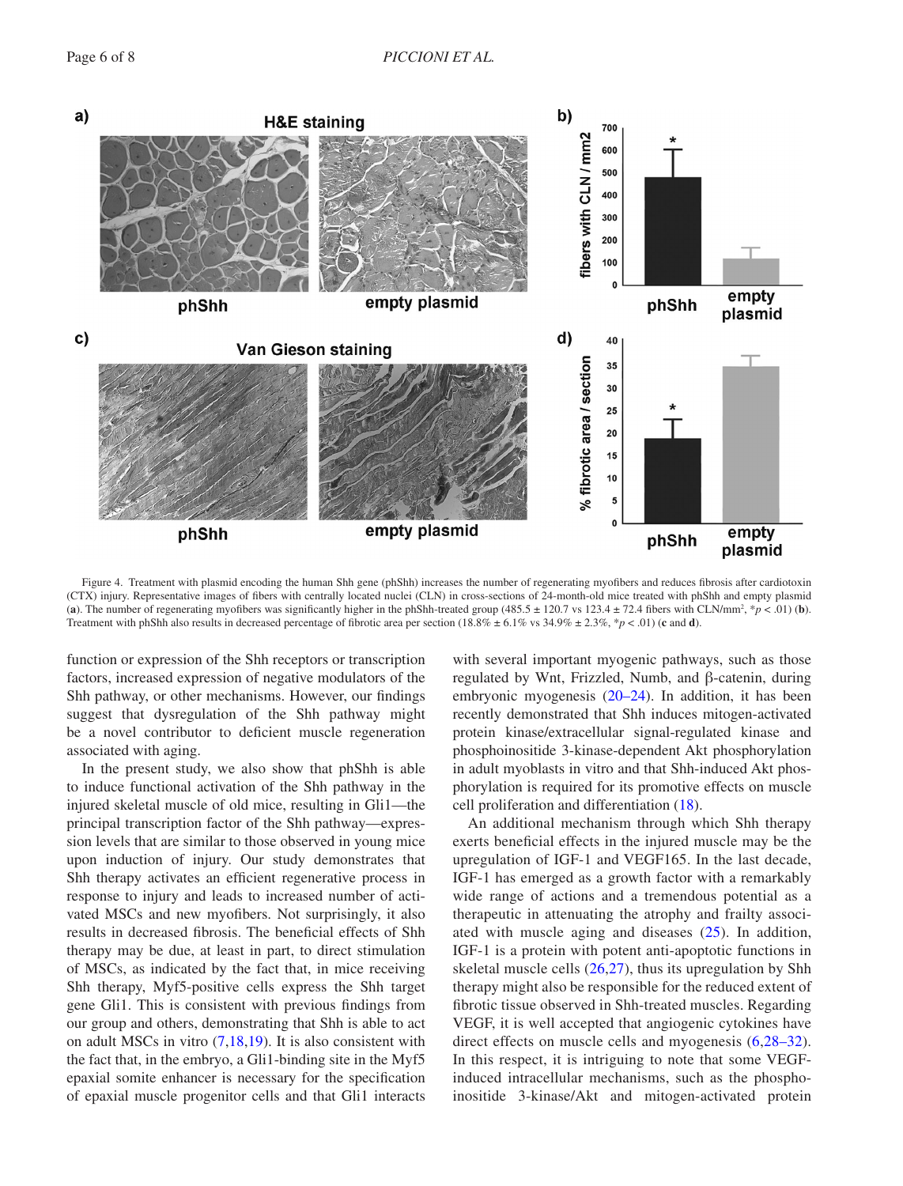

<span id="page-5-0"></span>Figure 4. Treatment with plasmid encoding the human Shh gene (phShh) increases the number of regenerating myofibers and reduces fibrosis after cardiotoxin (CTX) injury. Representative images of fibers with centrally located nuclei (CLN) in cross-sections of 24-month-old mice treated with phShh and empty plasmid (a). The number of regenerating myofibers was significantly higher in the phShh-treated group (485.5  $\pm$  120.7 vs 123.4  $\pm$  72.4 fibers with CLN/mm<sup>2</sup>,  $*p$  < .01) (b). Treatment with phShh also results in decreased percentage of fibrotic area per section (18.8% ± 6.1% vs 34.9% ± 2.3%, \**p* < .01) (**c** and **d**).

function or expression of the Shh receptors or transcription factors, increased expression of negative modulators of the Shh pathway, or other mechanisms. However, our findings suggest that dysregulation of the Shh pathway might be a novel contributor to deficient muscle regeneration associated with aging.

In the present study, we also show that phShh is able to induce functional activation of the Shh pathway in the injured skeletal muscle of old mice, resulting in Gli1—the principal transcription factor of the Shh pathway—expression levels that are similar to those observed in young mice upon induction of injury. Our study demonstrates that Shh therapy activates an efficient regenerative process in response to injury and leads to increased number of activated MSCs and new myofibers. Not surprisingly, it also results in decreased fibrosis. The beneficial effects of Shh therapy may be due, at least in part, to direct stimulation of MSCs, as indicated by the fact that, in mice receiving Shh therapy, Myf5-positive cells express the Shh target gene Gli1. This is consistent with previous findings from our group and others, demonstrating that Shh is able to act on adult MSCs in vitro  $(7,18,19)$  $(7,18,19)$  $(7,18,19)$  $(7,18,19)$  $(7,18,19)$ . It is also consistent with the fact that, in the embryo, a Gli1-binding site in the Myf5 epaxial somite enhancer is necessary for the specification of epaxial muscle progenitor cells and that Gli1 interacts with several important myogenic pathways, such as those regulated by Wnt, Frizzled, Numb, and β-catenin, during embryonic myogenesis ([20–24\)](#page-6-13). In addition, it has been recently demonstrated that Shh induces mitogen-activated protein kinase/extracellular signal-regulated kinase and phosphoinositide 3-kinase-dependent Akt phosphorylation in adult myoblasts in vitro and that Shh-induced Akt phosphorylation is required for its promotive effects on muscle cell proliferation and differentiation ([18\)](#page-6-11).

An additional mechanism through which Shh therapy exerts beneficial effects in the injured muscle may be the upregulation of IGF-1 and VEGF165. In the last decade, IGF-1 has emerged as a growth factor with a remarkably wide range of actions and a tremendous potential as a therapeutic in attenuating the atrophy and frailty associated with muscle aging and diseases  $(25)$  $(25)$ . In addition, IGF-1 is a protein with potent anti-apoptotic functions in skeletal muscle cells ([26](#page-7-2),[27\)](#page-7-3), thus its upregulation by Shh therapy might also be responsible for the reduced extent of fibrotic tissue observed in Shh-treated muscles. Regarding VEGF, it is well accepted that angiogenic cytokines have direct effects on muscle cells and myogenesis  $(6,28-32)$  $(6,28-32)$ . In this respect, it is intriguing to note that some VEGFinduced intracellular mechanisms, such as the phosphoinositide 3-kinase/Akt and mitogen-activated protein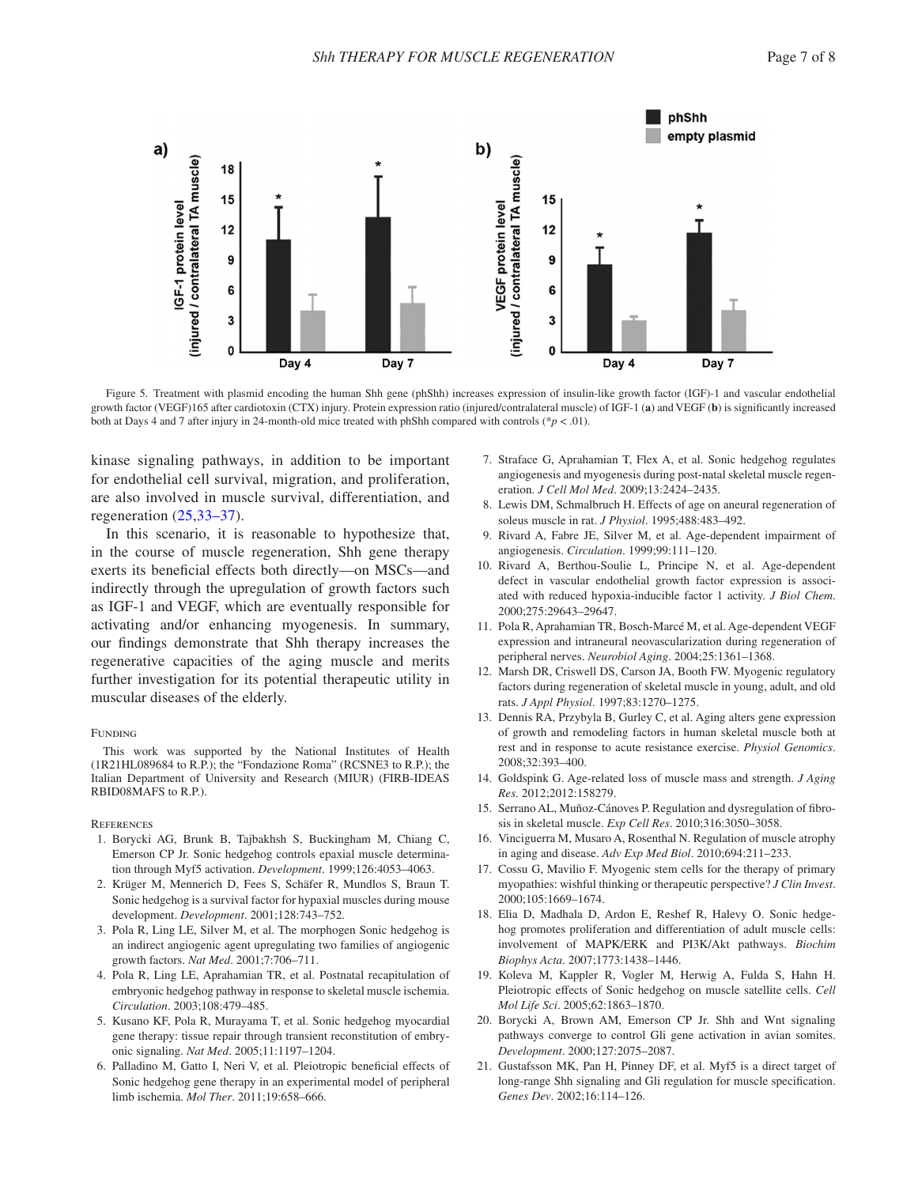

<span id="page-6-7"></span>Figure 5. Treatment with plasmid encoding the human Shh gene (phShh) increases expression of insulin-like growth factor (IGF)-1 and vascular endothelial growth factor (VEGF)165 after cardiotoxin (CTX) injury. Protein expression ratio (injured/contralateral muscle) of IGF-1 (**a**) and VEGF (**b**) is significantly increased both at Days 4 and 7 after injury in 24-month-old mice treated with phShh compared with controls ( $*p < .01$ ).

kinase signaling pathways, in addition to be important for endothelial cell survival, migration, and proliferation, are also involved in muscle survival, differentiation, and regeneration ([25](#page-7-1),[33–37](#page-7-5)).

In this scenario, it is reasonable to hypothesize that, in the course of muscle regeneration, Shh gene therapy exerts its beneficial effects both directly—on MSCs—and indirectly through the upregulation of growth factors such as IGF-1 and VEGF, which are eventually responsible for activating and/or enhancing myogenesis. In summary, our findings demonstrate that Shh therapy increases the regenerative capacities of the aging muscle and merits further investigation for its potential therapeutic utility in muscular diseases of the elderly.

#### FUNDING

This work was supported by the National Institutes of Health (1R21HL089684 to R.P.); the "Fondazione Roma" (RCSNE3 to R.P.); the Italian Department of University and Research (MIUR) (FIRB-IDEAS RBID08MAFS to R.P.).

#### **REFERENCES**

- <span id="page-6-0"></span>1. Borycki AG, Brunk B, Tajbakhsh S, Buckingham M, Chiang C, Emerson CP Jr. Sonic hedgehog controls epaxial muscle determination through Myf5 activation. *Development*. 1999;126:4053–4063.
- <span id="page-6-1"></span>2. Krüger M, Mennerich D, Fees S, Schäfer R, Mundlos S, Braun T. Sonic hedgehog is a survival factor for hypaxial muscles during mouse development. *Development*. 2001;128:743–752.
- <span id="page-6-2"></span>3. Pola R, Ling LE, Silver M, et al. The morphogen Sonic hedgehog is an indirect angiogenic agent upregulating two families of angiogenic growth factors. *Nat Med*. 2001;7:706–711.
- <span id="page-6-3"></span>4. Pola R, Ling LE, Aprahamian TR, et al. Postnatal recapitulation of embryonic hedgehog pathway in response to skeletal muscle ischemia. *Circulation*. 2003;108:479–485.
- <span id="page-6-5"></span>5. Kusano KF, Pola R, Murayama T, et al. Sonic hedgehog myocardial gene therapy: tissue repair through transient reconstitution of embryonic signaling. *Nat Med*. 2005;11:1197–1204.
- <span id="page-6-6"></span>6. Palladino M, Gatto I, Neri V, et al. Pleiotropic beneficial effects of Sonic hedgehog gene therapy in an experimental model of peripheral limb ischemia. *Mol Ther*. 2011;19:658–666.
- <span id="page-6-4"></span>7. Straface G, Aprahamian T, Flex A, et al. Sonic hedgehog regulates angiogenesis and myogenesis during post-natal skeletal muscle regeneration. *J Cell Mol Med*. 2009;13:2424–2435.
- <span id="page-6-8"></span>8. Lewis DM, Schmalbruch H. Effects of age on aneural regeneration of soleus muscle in rat. *J Physiol*. 1995;488:483–492.
- 9. Rivard A, Fabre JE, Silver M, et al. Age-dependent impairment of angiogenesis. *Circulation*. 1999;99:111–120.
- 10. Rivard A, Berthou-Soulie L, Principe N, et al. Age-dependent defect in vascular endothelial growth factor expression is associated with reduced hypoxia-inducible factor 1 activity. *J Biol Chem*. 2000;275:29643–29647.
- 11. Pola R, Aprahamian TR, Bosch-Marcé M, et al. Age-dependent VEGF expression and intraneural neovascularization during regeneration of peripheral nerves. *Neurobiol Aging*. 2004;25:1361–1368.
- 12. Marsh DR, Criswell DS, Carson JA, Booth FW. Myogenic regulatory factors during regeneration of skeletal muscle in young, adult, and old rats. *J Appl Physiol*. 1997;83:1270–1275.
- 13. Dennis RA, Przybyla B, Gurley C, et al. Aging alters gene expression of growth and remodeling factors in human skeletal muscle both at rest and in response to acute resistance exercise. *Physiol Genomics*. 2008;32:393–400.
- 14. Goldspink G. Age-related loss of muscle mass and strength. *J Aging Res*. 2012;2012:158279.
- 15. Serrano AL, Muñoz-Cánoves P. Regulation and dysregulation of fibrosis in skeletal muscle. *Exp Cell Res*. 2010;316:3050–3058.
- <span id="page-6-9"></span>16. Vinciguerra M, Musaro A, Rosenthal N. Regulation of muscle atrophy in aging and disease. *Adv Exp Med Biol*. 2010;694:211–233.
- <span id="page-6-10"></span>17. Cossu G, Mavilio F. Myogenic stem cells for the therapy of primary myopathies: wishful thinking or therapeutic perspective? *J Clin Invest*. 2000;105:1669–1674.
- <span id="page-6-11"></span>18. Elia D, Madhala D, Ardon E, Reshef R, Halevy O. Sonic hedgehog promotes proliferation and differentiation of adult muscle cells: involvement of MAPK/ERK and PI3K/Akt pathways. *Biochim Biophys Acta*. 2007;1773:1438–1446.
- <span id="page-6-12"></span>19. Koleva M, Kappler R, Vogler M, Herwig A, Fulda S, Hahn H. Pleiotropic effects of Sonic hedgehog on muscle satellite cells. *Cell Mol Life Sci*. 2005;62:1863–1870.
- <span id="page-6-13"></span>20. Borycki A, Brown AM, Emerson CP Jr. Shh and Wnt signaling pathways converge to control Gli gene activation in avian somites. *Development*. 2000;127:2075–2087.
- 21. Gustafsson MK, Pan H, Pinney DF, et al. Myf5 is a direct target of long-range Shh signaling and Gli regulation for muscle specification. *Genes Dev*. 2002;16:114–126.